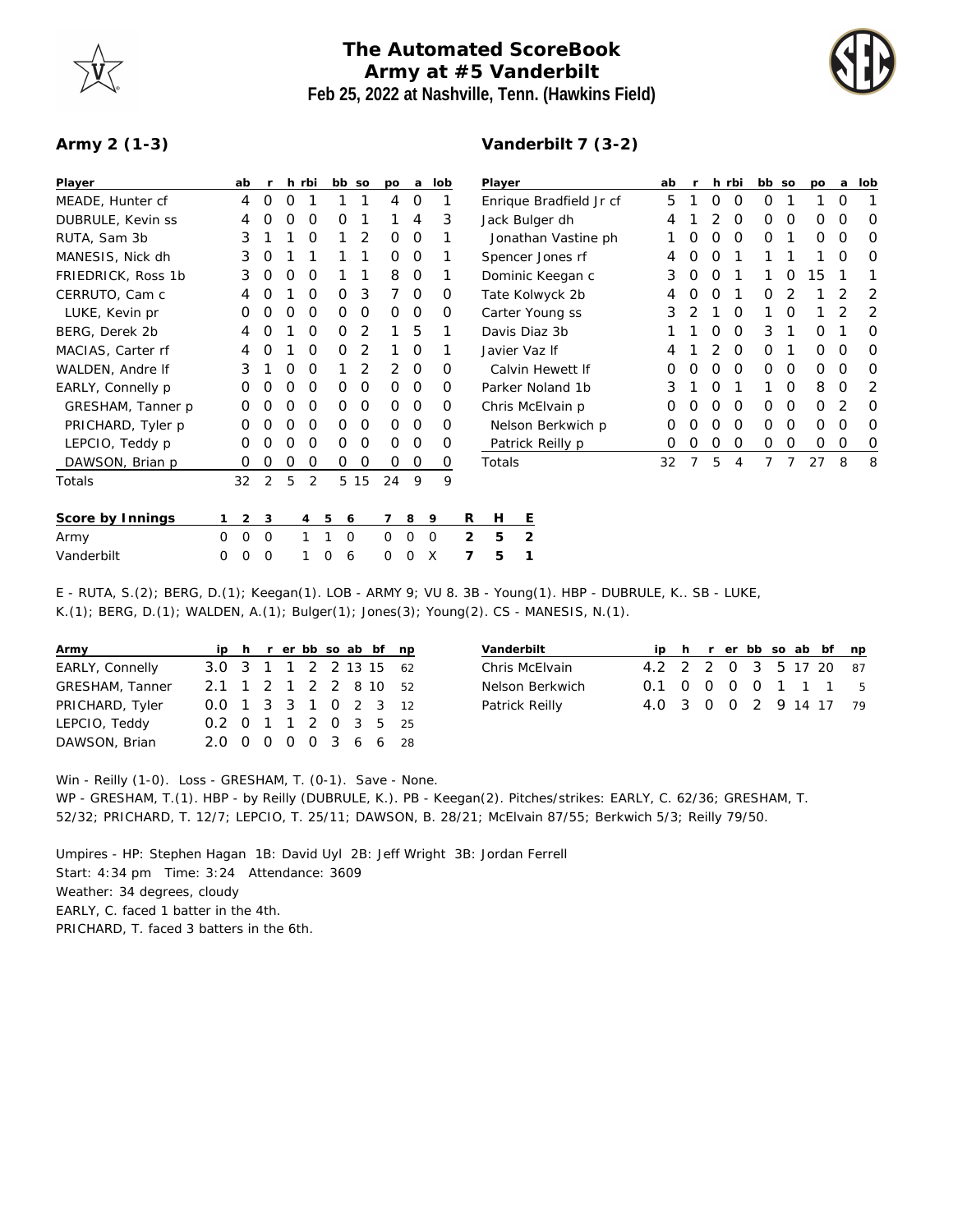## **The Automated ScoreBook Army at #5 Vanderbilt Feb 25, 2022 at Nashville, Tenn. (Hawkins Field)**



## **Army 2 (1-3)**

## **Vanderbilt 7 (3-2)**

| Player             |   | ab             | -r          |   | h rbi    | bb so       |         | po          | a              | lob         |   | Player         |                         |  | ab |   |   | h rbi    | bb so    |             | po       | a | lob      |
|--------------------|---|----------------|-------------|---|----------|-------------|---------|-------------|----------------|-------------|---|----------------|-------------------------|--|----|---|---|----------|----------|-------------|----------|---|----------|
| MEADE, Hunter cf   |   | 4              | 0           | O |          |             |         | 4           | $\circ$        |             |   |                | Enrique Bradfield Jr cf |  | 5  |   | 0 | 0        | 0        |             |          | 0 |          |
| DUBRULE, Kevin ss  |   | 4              | O           | Ο | 0        | O           |         |             | 4              | 3           |   | Jack Bulger dh |                         |  |    |   |   | O        | 0        | 0           | O        | 0 | O        |
| RUTA, Sam 3b       |   | 3              |             |   | 0        |             | 2       | 0           | 0              |             |   |                | Jonathan Vastine ph     |  |    | Ο | 0 | 0        | O        |             | 0        | 0 | 0        |
| MANESIS, Nick dh   |   | 3              | 0           |   |          |             |         | 0           | 0              |             |   |                | Spencer Jones rf        |  | 4  | O | O |          |          |             |          | 0 | 0        |
| FRIEDRICK, Ross 1b |   | 3              | $\Omega$    | O | $\Omega$ |             |         | 8           | $\mathbf 0$    |             |   |                | Dominic Keegan c        |  | 3  | O | Ο |          |          | O           | 15       |   |          |
| CERRUTO, Cam c     |   | 4              |             |   | Ο        | 0           | 3       |             | 0              | O           |   |                | Tate Kolwyck 2b         |  |    |   | Ο |          | Ο        |             |          |   | 2        |
| LUKE, Kevin pr     |   | 0              | O           | Ο | $\Omega$ | 0           | 0       | $\Omega$    | 0              | $\Omega$    |   |                | Carter Young ss         |  | 3  |   |   | $\Omega$ |          | O           |          |   | 2        |
| BERG, Derek 2b     |   | 4              | O           |   | 0        | 0           | 2       |             | 5              |             |   |                | Davis Diaz 3b           |  |    |   | 0 | 0        | 3        |             | 0        |   | 0        |
| MACIAS, Carter rf  |   | 4              | O           |   | O        | 0           | 2       |             | 0              |             |   |                | Javier Vaz If           |  |    |   | 2 | 0        | $\Omega$ |             | 0        | O | O        |
| WALDEN, Andre If   |   | 3              |             | Ο | Ο        |             | 2       | 2           | 0              | $\Omega$    |   |                | Calvin Hewett If        |  |    |   | Ω | 0        | $\Omega$ | 0           | 0        | O | 0        |
| EARLY, Connelly p  |   | 0              |             | Ο | O        | 0           | 0       | 0           | 0              | O           |   |                | Parker Noland 1b        |  | 3  |   | Ο |          |          | $\Omega$    | 8        | 0 | 2        |
| GRESHAM, Tanner p  |   | 0              | O           | O | O        | $\Omega$    | $\circ$ | $\Omega$    | $\overline{0}$ | $\Omega$    |   |                | Chris McElvain p        |  | 0  | Ο | Ο | $\Omega$ | $\Omega$ | 0           | $\Omega$ | 2 | $\Omega$ |
| PRICHARD, Tyler p  |   | 0              | O           | Ο | O        | 0           | 0       | 0           | 0              | 0           |   |                | Nelson Berkwich p       |  | 0  | Ο | Ο | 0        | $\Omega$ | 0           | $\Omega$ | O | 0        |
| LEPCIO, Teddy p    |   | 0              | Ω           | Ω | O        | 0           | 0       | $\Omega$    | $\Omega$       | 0           |   |                | Patrick Reilly p        |  | 0  | Ο | 0 | 0        | 0        | $\mathbf 0$ | 0        | 0 | 0        |
| DAWSON, Brian p    |   | 0              | 0           | Ο | O        | 0           | 0       | 0           | 0              | 0           |   | Totals         |                         |  | 32 |   | 5 | 4        |          |             | 27       | 8 | 8        |
| Totals             |   | 32             | 2           | 5 | 2        |             | 5 15    | 24          | 9              | 9           |   |                |                         |  |    |   |   |          |          |             |          |   |          |
| Score by Innings   |   | $\overline{2}$ | 3           |   | 4        | 5<br>6      |         | 7           | 8              | -9          | R | H              | <u>E</u>                |  |    |   |   |          |          |             |          |   |          |
| Army               | 0 | 0              | $\mathbf 0$ |   |          | $\mathbf 0$ |         | $\mathbf 0$ | $\Omega$       | $\mathbf 0$ | 2 | 5              | $\overline{2}$          |  |    |   |   |          |          |             |          |   |          |
| Vanderbilt         | Ω | Ω              | O           |   |          | 6           |         | 0           |                | X           | 7 | 5              | 1                       |  |    |   |   |          |          |             |          |   |          |

E - RUTA, S.(2); BERG, D.(1); Keegan(1). LOB - ARMY 9; VU 8. 3B - Young(1). HBP - DUBRULE, K.. SB - LUKE, K.(1); BERG, D.(1); WALDEN, A.(1); Bulger(1); Jones(3); Young(2). CS - MANESIS, N.(1).

| Army            |                        |  |  |  | ip h r er bb so ab bf np |
|-----------------|------------------------|--|--|--|--------------------------|
| EARLY, Connelly | 3.0 3 1 1 2 2 13 15 62 |  |  |  |                          |
| GRESHAM, Tanner | 2.1 1 2 1 2 2 8 10 52  |  |  |  |                          |
| PRICHARD, Tyler | 0.0 1 3 3 1 0 2 3 12   |  |  |  |                          |
| LEPCIO, Teddy   | 0.2 0 1 1 2 0 3 5 25   |  |  |  |                          |
| DAWSON, Brian   | 2.0 0 0 0 0 3 6 6 28   |  |  |  |                          |

| ip h r er bb so ab bf np |
|--------------------------|
| 4.2 2 2 0 3 5 17 20 87   |
| 0.1 0 0 0 0 1 1 1 5      |
| 4.0 3 0 0 2 9 14 17 79   |
|                          |

Win - Reilly (1-0). Loss - GRESHAM, T. (0-1). Save - None. WP - GRESHAM, T.(1). HBP - by Reilly (DUBRULE, K.). PB - Keegan(2). Pitches/strikes: EARLY, C. 62/36; GRESHAM, T. 52/32; PRICHARD, T. 12/7; LEPCIO, T. 25/11; DAWSON, B. 28/21; McElvain 87/55; Berkwich 5/3; Reilly 79/50.

Umpires - HP: Stephen Hagan 1B: David Uyl 2B: Jeff Wright 3B: Jordan Ferrell Start: 4:34 pm Time: 3:24 Attendance: 3609 Weather: 34 degrees, cloudy EARLY, C. faced 1 batter in the 4th. PRICHARD, T. faced 3 batters in the 6th.